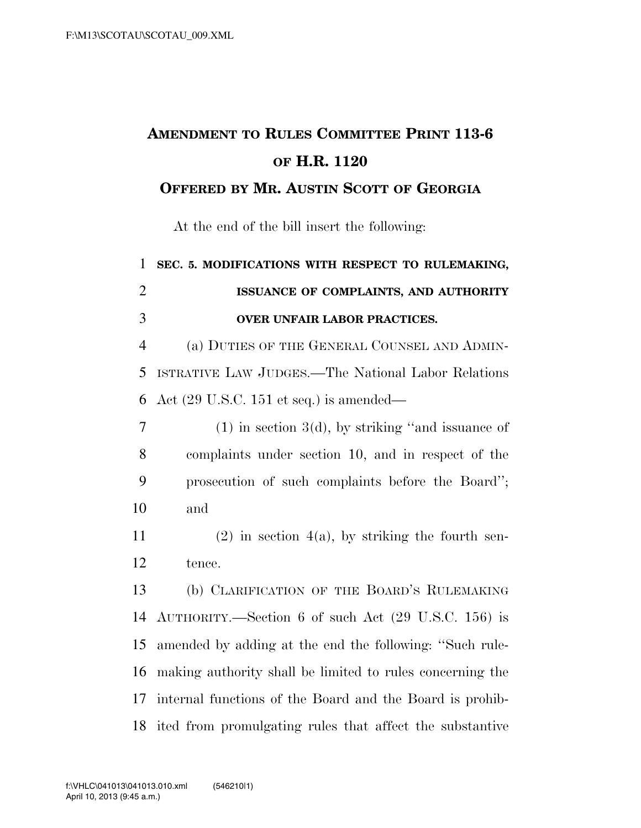## **AMENDMENT TO RULES COMMITTEE PRINT 113-6 OF H.R. 1120**

## **OFFERED BY MR. AUSTIN SCOTT OF GEORGIA**

At the end of the bill insert the following:

 **SEC. 5. MODIFICATIONS WITH RESPECT TO RULEMAKING, ISSUANCE OF COMPLAINTS, AND AUTHORITY OVER UNFAIR LABOR PRACTICES.**  (a) DUTIES OF THE GENERAL COUNSEL AND ADMIN- ISTRATIVE LAW JUDGES.—The National Labor Relations Act (29 U.S.C. 151 et seq.) is amended—  $7 \t(1)$  in section 3(d), by striking "and issuance of complaints under section 10, and in respect of the prosecution of such complaints before the Board''; and 11 (2) in section 4(a), by striking the fourth sen- tence. (b) CLARIFICATION OF THE BOARD'S RULEMAKING AUTHORITY.—Section 6 of such Act (29 U.S.C. 156) is amended by adding at the end the following: ''Such rule- making authority shall be limited to rules concerning the internal functions of the Board and the Board is prohib-ited from promulgating rules that affect the substantive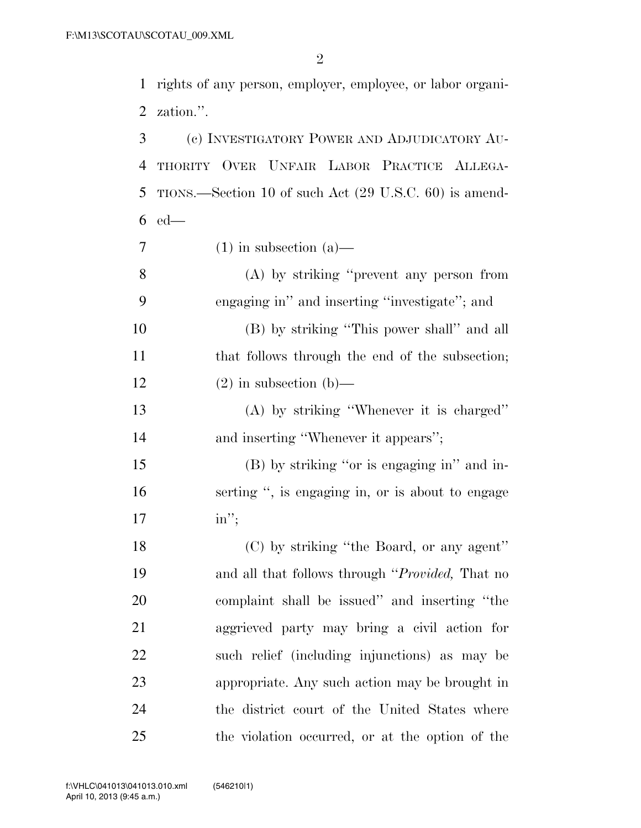rights of any person, employer, employee, or labor organi-zation.''.

 (c) INVESTIGATORY POWER AND ADJUDICATORY AU- THORITY OVER UNFAIR LABOR PRACTICE ALLEGA- TIONS.—Section 10 of such Act (29 U.S.C. 60) is amend-ed—

 $7 \quad (1)$  in subsection (a)—

 (A) by striking ''prevent any person from engaging in'' and inserting ''investigate''; and

 (B) by striking ''This power shall'' and all 11 that follows through the end of the subsection; 12 (2) in subsection (b)—

 (A) by striking ''Whenever it is charged'' 14 and inserting "Whenever it appears";

 (B) by striking ''or is engaging in'' and in- serting '', is engaging in, or is about to engage in'';

18 (C) by striking "the Board, or any agent" and all that follows through ''*Provided,* That no complaint shall be issued'' and inserting ''the aggrieved party may bring a civil action for such relief (including injunctions) as may be appropriate. Any such action may be brought in the district court of the United States where the violation occurred, or at the option of the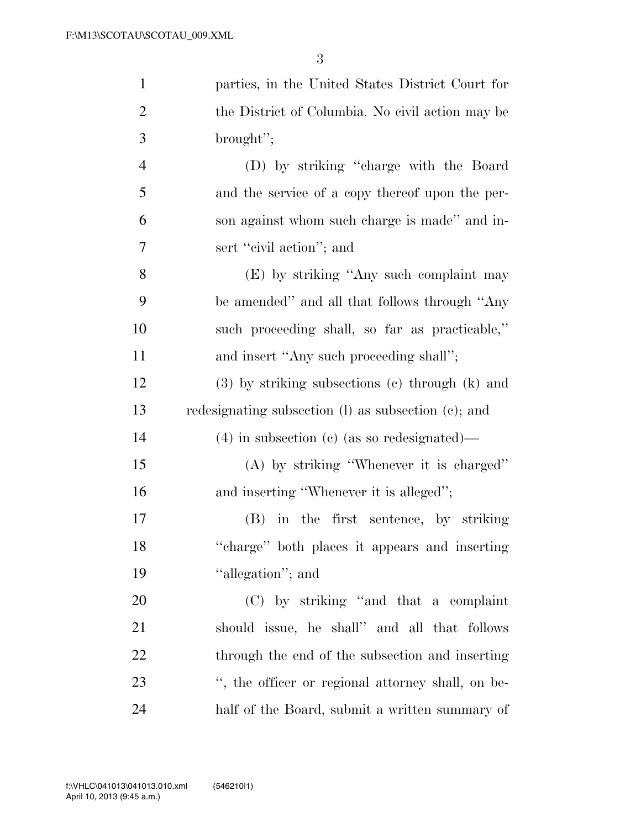| $\mathbf{1}$   | parties, in the United States District Court for      |
|----------------|-------------------------------------------------------|
| $\overline{2}$ | the District of Columbia. No civil action may be      |
| 3              | brought";                                             |
| $\overline{4}$ | (D) by striking "charge with the Board                |
| 5              | and the service of a copy thereof upon the per-       |
| 6              | son against whom such charge is made" and in-         |
| 7              | sert "civil action"; and                              |
| 8              | (E) by striking "Any such complaint may               |
| 9              | be amended" and all that follows through "Any         |
| 10             | such proceeding shall, so far as practicable,"        |
| 11             | and insert "Any such proceeding shall";               |
| 12             | $(3)$ by striking subsections $(e)$ through $(k)$ and |
| 13             | redesignating subsection (l) as subsection (c); and   |
| 14             | $(4)$ in subsection (c) (as so redesignated)—         |
| 15             | $(A)$ by striking "Whenever it is charged"            |
| 16             | and inserting "Whenever it is alleged";               |
| 17             | in the first sentence, by striking<br>(B)             |
| 18             | "charge" both places it appears and inserting         |
| 19             | "allegation"; and                                     |
| 20             | (C) by striking "and that a complaint                 |
| 21             | should issue, he shall" and all that follows          |
| 22             | through the end of the subsection and inserting       |
| 23             | ", the officer or regional attorney shall, on be-     |
| 24             | half of the Board, submit a written summary of        |